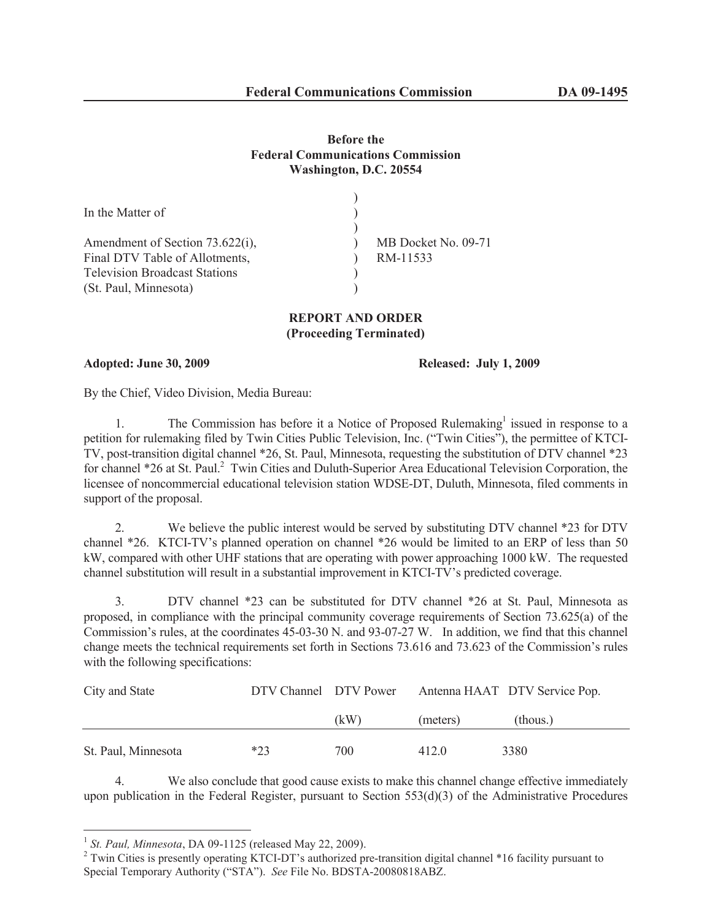## **Before the Federal Communications Commission Washington, D.C. 20554**

| MB Docket No. 09-71 |
|---------------------|
| RM-11533            |
|                     |
|                     |
|                     |

## **REPORT AND ORDER (Proceeding Terminated)**

**Adopted: June 30, 2009 Released: July 1, 2009**

By the Chief, Video Division, Media Bureau:

1. The Commission has before it a Notice of Proposed Rulemaking<sup>1</sup> issued in response to a petition for rulemaking filed by Twin Cities Public Television, Inc. ("Twin Cities"), the permittee of KTCI-TV, post-transition digital channel \*26, St. Paul, Minnesota, requesting the substitution of DTV channel \*23 for channel \*26 at St. Paul.<sup>2</sup> Twin Cities and Duluth-Superior Area Educational Television Corporation, the licensee of noncommercial educational television station WDSE-DT, Duluth, Minnesota, filed comments in support of the proposal.

2. We believe the public interest would be served by substituting DTV channel \*23 for DTV channel \*26. KTCI-TV's planned operation on channel \*26 would be limited to an ERP of less than 50 kW, compared with other UHF stations that are operating with power approaching 1000 kW. The requested channel substitution will result in a substantial improvement in KTCI-TV's predicted coverage.

3. DTV channel \*23 can be substituted for DTV channel \*26 at St. Paul, Minnesota as proposed, in compliance with the principal community coverage requirements of Section 73.625(a) of the Commission's rules, at the coordinates 45-03-30 N. and 93-07-27 W. In addition, we find that this channel change meets the technical requirements set forth in Sections 73.616 and 73.623 of the Commission's rules with the following specifications:

| City and State      | DTV Channel DTV Power |      |          | Antenna HAAT DTV Service Pop. |  |
|---------------------|-----------------------|------|----------|-------------------------------|--|
|                     |                       | (kW) | (meters) | (thous.)                      |  |
| St. Paul, Minnesota | $*23$                 | 700  | 412.0    | 3380                          |  |

4. We also conclude that good cause exists to make this channel change effective immediately upon publication in the Federal Register, pursuant to Section 553(d)(3) of the Administrative Procedures

<sup>1</sup> *St. Paul, Minnesota*, DA 09-1125 (released May 22, 2009).

<sup>&</sup>lt;sup>2</sup> Twin Cities is presently operating KTCI-DT's authorized pre-transition digital channel \*16 facility pursuant to Special Temporary Authority ("STA"). *See* File No. BDSTA-20080818ABZ.